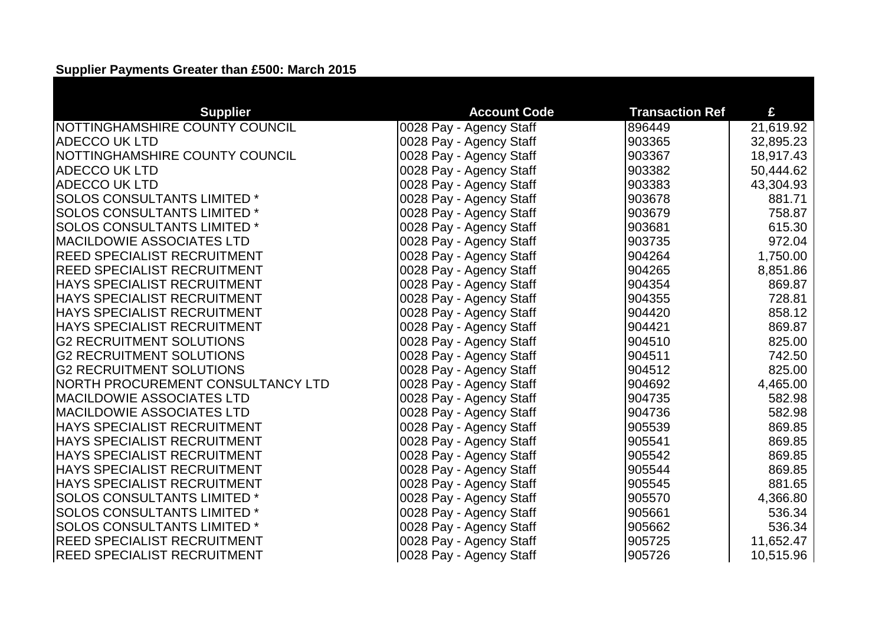## **Supplier Payments Greater than £500: March 2015**

| <b>Supplier</b>                    | <b>Account Code</b>     | <b>Transaction Ref</b> | £         |
|------------------------------------|-------------------------|------------------------|-----------|
| NOTTINGHAMSHIRE COUNTY COUNCIL     | 0028 Pay - Agency Staff | 896449                 | 21,619.92 |
| <b>ADECCO UK LTD</b>               | 0028 Pay - Agency Staff | 903365                 | 32,895.23 |
| NOTTINGHAMSHIRE COUNTY COUNCIL     | 0028 Pay - Agency Staff | 903367                 | 18,917.43 |
| <b>ADECCO UK LTD</b>               | 0028 Pay - Agency Staff | 903382                 | 50,444.62 |
| <b>ADECCO UK LTD</b>               | 0028 Pay - Agency Staff | 903383                 | 43,304.93 |
| <b>SOLOS CONSULTANTS LIMITED *</b> | 0028 Pay - Agency Staff | 903678                 | 881.71    |
| <b>SOLOS CONSULTANTS LIMITED*</b>  | 0028 Pay - Agency Staff | 903679                 | 758.87    |
| <b>SOLOS CONSULTANTS LIMITED*</b>  | 0028 Pay - Agency Staff | 903681                 | 615.30    |
| <b>MACILDOWIE ASSOCIATES LTD</b>   | 0028 Pay - Agency Staff | 903735                 | 972.04    |
| <b>REED SPECIALIST RECRUITMENT</b> | 0028 Pay - Agency Staff | 904264                 | 1,750.00  |
| <b>REED SPECIALIST RECRUITMENT</b> | 0028 Pay - Agency Staff | 904265                 | 8,851.86  |
| <b>HAYS SPECIALIST RECRUITMENT</b> | 0028 Pay - Agency Staff | 904354                 | 869.87    |
| <b>HAYS SPECIALIST RECRUITMENT</b> | 0028 Pay - Agency Staff | 904355                 | 728.81    |
| <b>HAYS SPECIALIST RECRUITMENT</b> | 0028 Pay - Agency Staff | 904420                 | 858.12    |
| <b>HAYS SPECIALIST RECRUITMENT</b> | 0028 Pay - Agency Staff | 904421                 | 869.87    |
| <b>G2 RECRUITMENT SOLUTIONS</b>    | 0028 Pay - Agency Staff | 904510                 | 825.00    |
| <b>G2 RECRUITMENT SOLUTIONS</b>    | 0028 Pay - Agency Staff | 904511                 | 742.50    |
| <b>G2 RECRUITMENT SOLUTIONS</b>    | 0028 Pay - Agency Staff | 904512                 | 825.00    |
| NORTH PROCUREMENT CONSULTANCY LTD  | 0028 Pay - Agency Staff | 904692                 | 4,465.00  |
| <b>MACILDOWIE ASSOCIATES LTD</b>   | 0028 Pay - Agency Staff | 904735                 | 582.98    |
| <b>MACILDOWIE ASSOCIATES LTD</b>   | 0028 Pay - Agency Staff | 904736                 | 582.98    |
| <b>HAYS SPECIALIST RECRUITMENT</b> | 0028 Pay - Agency Staff | 905539                 | 869.85    |
| <b>HAYS SPECIALIST RECRUITMENT</b> | 0028 Pay - Agency Staff | 905541                 | 869.85    |
| <b>HAYS SPECIALIST RECRUITMENT</b> | 0028 Pay - Agency Staff | 905542                 | 869.85    |
| <b>HAYS SPECIALIST RECRUITMENT</b> | 0028 Pay - Agency Staff | 905544                 | 869.85    |
| <b>HAYS SPECIALIST RECRUITMENT</b> | 0028 Pay - Agency Staff | 905545                 | 881.65    |
| <b>SOLOS CONSULTANTS LIMITED*</b>  | 0028 Pay - Agency Staff | 905570                 | 4,366.80  |
| <b>SOLOS CONSULTANTS LIMITED *</b> | 0028 Pay - Agency Staff | 905661                 | 536.34    |
| <b>SOLOS CONSULTANTS LIMITED *</b> | 0028 Pay - Agency Staff | 905662                 | 536.34    |
| <b>REED SPECIALIST RECRUITMENT</b> | 0028 Pay - Agency Staff | 905725                 | 11,652.47 |
| <b>REED SPECIALIST RECRUITMENT</b> | 0028 Pay - Agency Staff | 905726                 | 10,515.96 |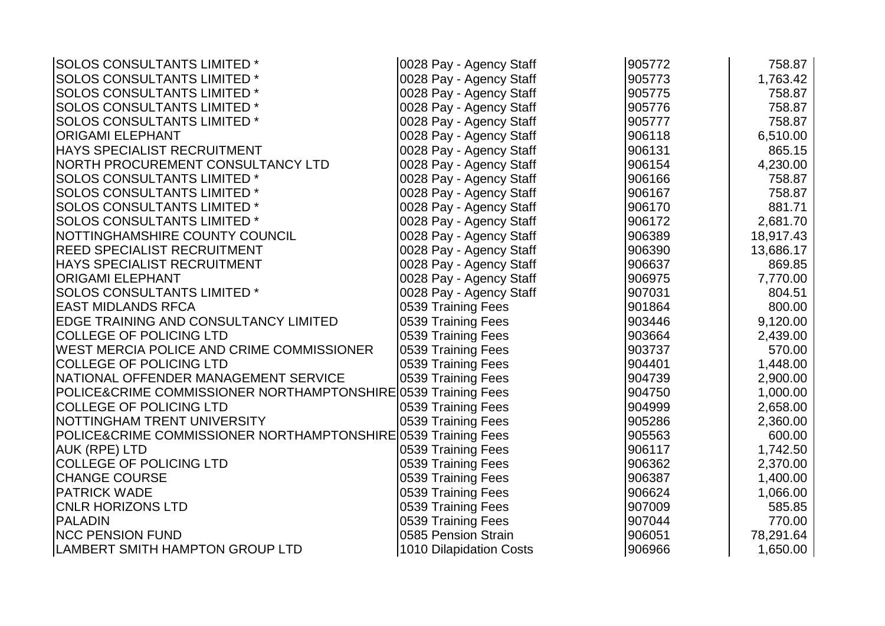| <b>SOLOS CONSULTANTS LIMITED *</b>                            | 0028 Pay - Agency Staff | 905772 | 758.87    |
|---------------------------------------------------------------|-------------------------|--------|-----------|
| <b>SOLOS CONSULTANTS LIMITED *</b>                            | 0028 Pay - Agency Staff | 905773 | 1,763.42  |
| <b>SOLOS CONSULTANTS LIMITED *</b>                            | 0028 Pay - Agency Staff | 905775 | 758.87    |
| <b>SOLOS CONSULTANTS LIMITED *</b>                            | 0028 Pay - Agency Staff | 905776 | 758.87    |
| <b>SOLOS CONSULTANTS LIMITED *</b>                            | 0028 Pay - Agency Staff | 905777 | 758.87    |
| <b>ORIGAMI ELEPHANT</b>                                       | 0028 Pay - Agency Staff | 906118 | 6,510.00  |
| <b>HAYS SPECIALIST RECRUITMENT</b>                            | 0028 Pay - Agency Staff | 906131 | 865.15    |
| NORTH PROCUREMENT CONSULTANCY LTD                             | 0028 Pay - Agency Staff | 906154 | 4,230.00  |
| <b>SOLOS CONSULTANTS LIMITED*</b>                             | 0028 Pay - Agency Staff | 906166 | 758.87    |
| <b>SOLOS CONSULTANTS LIMITED *</b>                            | 0028 Pay - Agency Staff | 906167 | 758.87    |
| <b>SOLOS CONSULTANTS LIMITED *</b>                            | 0028 Pay - Agency Staff | 906170 | 881.71    |
| <b>SOLOS CONSULTANTS LIMITED *</b>                            | 0028 Pay - Agency Staff | 906172 | 2,681.70  |
| NOTTINGHAMSHIRE COUNTY COUNCIL                                | 0028 Pay - Agency Staff | 906389 | 18,917.43 |
| <b>REED SPECIALIST RECRUITMENT</b>                            | 0028 Pay - Agency Staff | 906390 | 13,686.17 |
| <b>HAYS SPECIALIST RECRUITMENT</b>                            | 0028 Pay - Agency Staff | 906637 | 869.85    |
| ORIGAMI ELEPHANT                                              | 0028 Pay - Agency Staff | 906975 | 7,770.00  |
| <b>SOLOS CONSULTANTS LIMITED*</b>                             | 0028 Pay - Agency Staff | 907031 | 804.51    |
| <b>EAST MIDLANDS RFCA</b>                                     | 0539 Training Fees      | 901864 | 800.00    |
| <b>EDGE TRAINING AND CONSULTANCY LIMITED</b>                  | 0539 Training Fees      | 903446 | 9,120.00  |
| COLLEGE OF POLICING LTD                                       | 0539 Training Fees      | 903664 | 2,439.00  |
| WEST MERCIA POLICE AND CRIME COMMISSIONER                     | 0539 Training Fees      | 903737 | 570.00    |
| <b>COLLEGE OF POLICING LTD</b>                                | 0539 Training Fees      | 904401 | 1,448.00  |
| NATIONAL OFFENDER MANAGEMENT SERVICE                          | 0539 Training Fees      | 904739 | 2,900.00  |
| POLICE&CRIME COMMISSIONER NORTHAMPTONSHIRE 0539 Training Fees |                         | 904750 | 1,000.00  |
| <b>COLLEGE OF POLICING LTD</b>                                | 0539 Training Fees      | 904999 | 2,658.00  |
| NOTTINGHAM TRENT UNIVERSITY                                   | 0539 Training Fees      | 905286 | 2,360.00  |
| POLICE&CRIME COMMISSIONER NORTHAMPTONSHIRE 0539 Training Fees |                         | 905563 | 600.00    |
| <b>AUK (RPE) LTD</b>                                          | 0539 Training Fees      | 906117 | 1,742.50  |
| <b>COLLEGE OF POLICING LTD</b>                                | 0539 Training Fees      | 906362 | 2,370.00  |
| <b>CHANGE COURSE</b>                                          | 0539 Training Fees      | 906387 | 1,400.00  |
| <b>PATRICK WADE</b>                                           | 0539 Training Fees      | 906624 | 1,066.00  |
| <b>CNLR HORIZONS LTD</b>                                      | 0539 Training Fees      | 907009 | 585.85    |
| <b>PALADIN</b>                                                | 0539 Training Fees      | 907044 | 770.00    |
| <b>NCC PENSION FUND</b>                                       | 0585 Pension Strain     | 906051 | 78,291.64 |
| LAMBERT SMITH HAMPTON GROUP LTD                               | 1010 Dilapidation Costs | 906966 | 1,650.00  |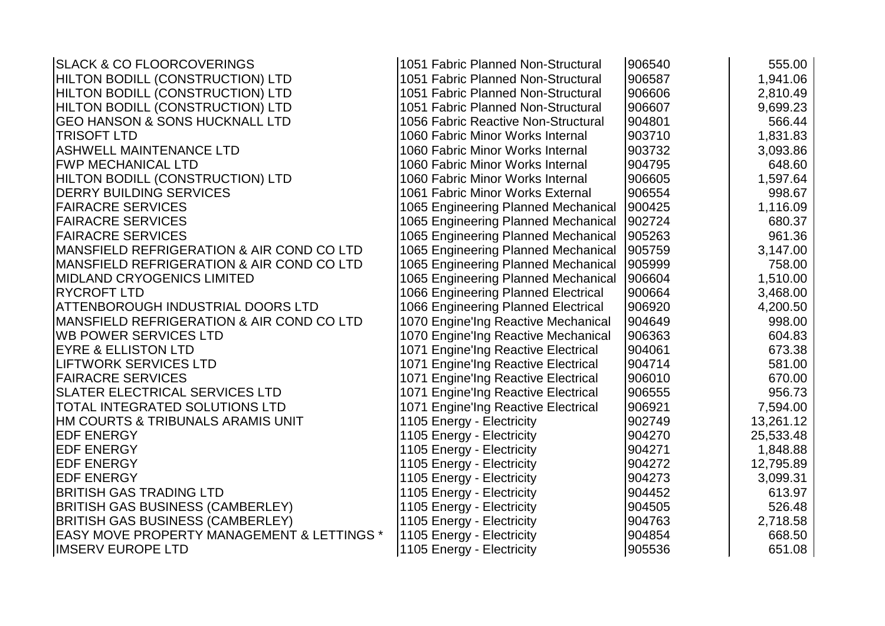| <b>SLACK &amp; CO FLOORCOVERINGS</b>                  | 1051 Fabric Planned Non-Structural  | 906540 | 555.00    |
|-------------------------------------------------------|-------------------------------------|--------|-----------|
| HILTON BODILL (CONSTRUCTION) LTD                      | 1051 Fabric Planned Non-Structural  | 906587 | 1,941.06  |
| HILTON BODILL (CONSTRUCTION) LTD                      | 1051 Fabric Planned Non-Structural  | 906606 | 2,810.49  |
| HILTON BODILL (CONSTRUCTION) LTD                      | 1051 Fabric Planned Non-Structural  | 906607 | 9,699.23  |
| <b>GEO HANSON &amp; SONS HUCKNALL LTD</b>             | 1056 Fabric Reactive Non-Structural | 904801 | 566.44    |
| <b>TRISOFT LTD</b>                                    | 1060 Fabric Minor Works Internal    | 903710 | 1,831.83  |
| ASHWELL MAINTENANCE LTD                               | 1060 Fabric Minor Works Internal    | 903732 | 3,093.86  |
| <b>FWP MECHANICAL LTD</b>                             | 1060 Fabric Minor Works Internal    | 904795 | 648.60    |
| HILTON BODILL (CONSTRUCTION) LTD                      | 1060 Fabric Minor Works Internal    | 906605 | 1,597.64  |
| <b>DERRY BUILDING SERVICES</b>                        | 1061 Fabric Minor Works External    | 906554 | 998.67    |
| <b>FAIRACRE SERVICES</b>                              | 1065 Engineering Planned Mechanical | 900425 | 1,116.09  |
| <b>FAIRACRE SERVICES</b>                              | 1065 Engineering Planned Mechanical | 902724 | 680.37    |
| <b>FAIRACRE SERVICES</b>                              | 1065 Engineering Planned Mechanical | 905263 | 961.36    |
| MANSFIELD REFRIGERATION & AIR COND CO LTD             | 1065 Engineering Planned Mechanical | 905759 | 3,147.00  |
| MANSFIELD REFRIGERATION & AIR COND CO LTD             | 1065 Engineering Planned Mechanical | 905999 | 758.00    |
| <b>MIDLAND CRYOGENICS LIMITED</b>                     | 1065 Engineering Planned Mechanical | 906604 | 1,510.00  |
| <b>RYCROFT LTD</b>                                    | 1066 Engineering Planned Electrical | 900664 | 3,468.00  |
| <b>ATTENBOROUGH INDUSTRIAL DOORS LTD</b>              | 1066 Engineering Planned Electrical | 906920 | 4,200.50  |
| <b>MANSFIELD REFRIGERATION &amp; AIR COND CO LTD</b>  | 1070 Engine'ing Reactive Mechanical | 904649 | 998.00    |
| <b>WB POWER SERVICES LTD</b>                          | 1070 Engine'ing Reactive Mechanical | 906363 | 604.83    |
| <b>EYRE &amp; ELLISTON LTD</b>                        | 1071 Engine'Ing Reactive Electrical | 904061 | 673.38    |
| <b>LIFTWORK SERVICES LTD</b>                          | 1071 Engine'Ing Reactive Electrical | 904714 | 581.00    |
| <b>FAIRACRE SERVICES</b>                              | 1071 Engine'ing Reactive Electrical | 906010 | 670.00    |
| <b>SLATER ELECTRICAL SERVICES LTD</b>                 | 1071 Engine'Ing Reactive Electrical | 906555 | 956.73    |
| <b>TOTAL INTEGRATED SOLUTIONS LTD</b>                 | 1071 Engine'Ing Reactive Electrical | 906921 | 7,594.00  |
| HM COURTS & TRIBUNALS ARAMIS UNIT                     | 1105 Energy - Electricity           | 902749 | 13,261.12 |
| <b>EDF ENERGY</b>                                     | 1105 Energy - Electricity           | 904270 | 25,533.48 |
| <b>EDF ENERGY</b>                                     | 1105 Energy - Electricity           | 904271 | 1,848.88  |
| <b>EDF ENERGY</b>                                     | 1105 Energy - Electricity           | 904272 | 12,795.89 |
| <b>EDF ENERGY</b>                                     | 1105 Energy - Electricity           | 904273 | 3,099.31  |
| <b>BRITISH GAS TRADING LTD</b>                        | 1105 Energy - Electricity           | 904452 | 613.97    |
| <b>BRITISH GAS BUSINESS (CAMBERLEY)</b>               | 1105 Energy - Electricity           | 904505 | 526.48    |
| <b>BRITISH GAS BUSINESS (CAMBERLEY)</b>               | 1105 Energy - Electricity           | 904763 | 2,718.58  |
| <b>EASY MOVE PROPERTY MANAGEMENT &amp; LETTINGS *</b> | 1105 Energy - Electricity           | 904854 | 668.50    |
| <b>IIMSERV EUROPE LTD</b>                             | 1105 Energy - Electricity           | 905536 | 651.08    |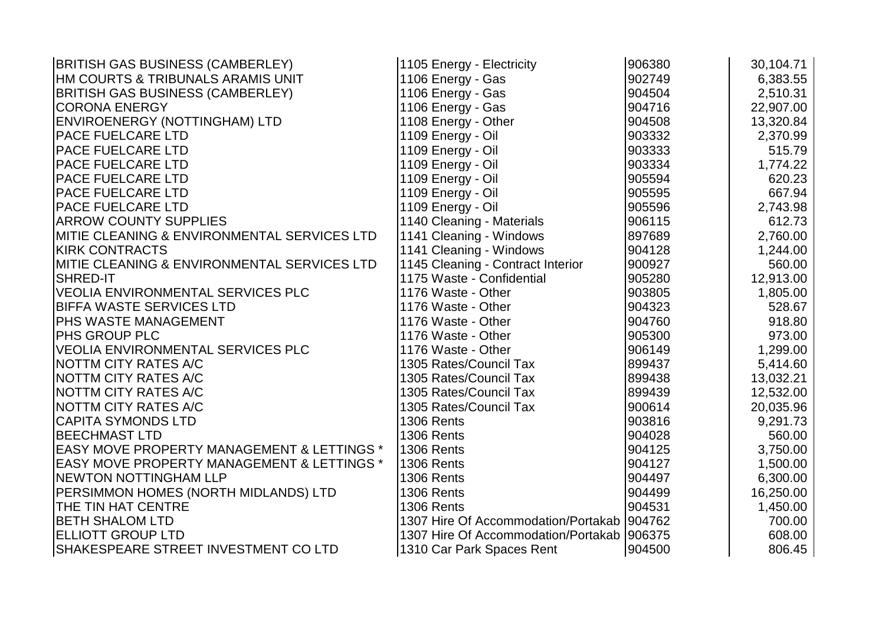| <b>BRITISH GAS BUSINESS (CAMBERLEY)</b>               | 1105 Energy - Electricity                    | 906380 | 30,104.71 |
|-------------------------------------------------------|----------------------------------------------|--------|-----------|
| HM COURTS & TRIBUNALS ARAMIS UNIT                     | 1106 Energy - Gas                            | 902749 | 6,383.55  |
| <b>BRITISH GAS BUSINESS (CAMBERLEY)</b>               | 1106 Energy - Gas                            | 904504 | 2,510.31  |
| <b>CORONA ENERGY</b>                                  | 1106 Energy - Gas                            | 904716 | 22,907.00 |
| ENVIROENERGY (NOTTINGHAM) LTD                         | 1108 Energy - Other                          | 904508 | 13,320.84 |
| <b>PACE FUELCARE LTD</b>                              | 1109 Energy - Oil                            | 903332 | 2,370.99  |
| PACE FUELCARE LTD                                     | 1109 Energy - Oil                            | 903333 | 515.79    |
| <b>PACE FUELCARE LTD</b>                              | 1109 Energy - Oil                            | 903334 | 1,774.22  |
| <b>PACE FUELCARE LTD</b>                              | 1109 Energy - Oil                            | 905594 | 620.23    |
| <b>PACE FUELCARE LTD</b>                              | 1109 Energy - Oil                            | 905595 | 667.94    |
| <b>PACE FUELCARE LTD</b>                              | 1109 Energy - Oil                            | 905596 | 2,743.98  |
| <b>ARROW COUNTY SUPPLIES</b>                          | 1140 Cleaning - Materials                    | 906115 | 612.73    |
| MITIE CLEANING & ENVIRONMENTAL SERVICES LTD           | 1141 Cleaning - Windows                      | 897689 | 2,760.00  |
| <b>KIRK CONTRACTS</b>                                 | 1141 Cleaning - Windows                      | 904128 | 1,244.00  |
| MITIE CLEANING & ENVIRONMENTAL SERVICES LTD           | 1145 Cleaning - Contract Interior            | 900927 | 560.00    |
| <b>SHRED-IT</b>                                       | 1175 Waste - Confidential                    | 905280 | 12,913.00 |
| <b>VEOLIA ENVIRONMENTAL SERVICES PLC</b>              | 1176 Waste - Other                           | 903805 | 1,805.00  |
| <b>BIFFA WASTE SERVICES LTD</b>                       | 1176 Waste - Other                           | 904323 | 528.67    |
| PHS WASTE MANAGEMENT                                  | 1176 Waste - Other                           | 904760 | 918.80    |
| <b>PHS GROUP PLC</b>                                  | 1176 Waste - Other                           | 905300 | 973.00    |
| <b>VEOLIA ENVIRONMENTAL SERVICES PLC</b>              | 1176 Waste - Other                           | 906149 | 1,299.00  |
| <b>NOTTM CITY RATES A/C</b>                           | 1305 Rates/Council Tax                       | 899437 | 5,414.60  |
| <b>NOTTM CITY RATES A/C</b>                           | 1305 Rates/Council Tax                       | 899438 | 13,032.21 |
| <b>NOTTM CITY RATES A/C</b>                           | 1305 Rates/Council Tax                       | 899439 | 12,532.00 |
| <b>NOTTM CITY RATES A/C</b>                           | 1305 Rates/Council Tax                       | 900614 | 20,035.96 |
| <b>CAPITA SYMONDS LTD</b>                             | <b>1306 Rents</b>                            | 903816 | 9,291.73  |
| <b>BEECHMAST LTD</b>                                  | <b>1306 Rents</b>                            | 904028 | 560.00    |
| <b>EASY MOVE PROPERTY MANAGEMENT &amp; LETTINGS *</b> | 1306 Rents                                   | 904125 | 3,750.00  |
| <b>EASY MOVE PROPERTY MANAGEMENT &amp; LETTINGS *</b> | <b>1306 Rents</b>                            | 904127 | 1,500.00  |
| <b>NEWTON NOTTINGHAM LLP</b>                          | <b>1306 Rents</b>                            | 904497 | 6,300.00  |
| PERSIMMON HOMES (NORTH MIDLANDS) LTD                  | <b>1306 Rents</b>                            | 904499 | 16,250.00 |
| THE TIN HAT CENTRE                                    | <b>1306 Rents</b>                            | 904531 | 1,450.00  |
| <b>BETH SHALOM LTD</b>                                | 1307 Hire Of Accommodation/Portakab 904762   |        | 700.00    |
| <b>ELLIOTT GROUP LTD</b>                              | 1307 Hire Of Accommodation/Portakab   906375 |        | 608.00    |
| SHAKESPEARE STREET INVESTMENT CO LTD                  | 1310 Car Park Spaces Rent                    | 904500 | 806.45    |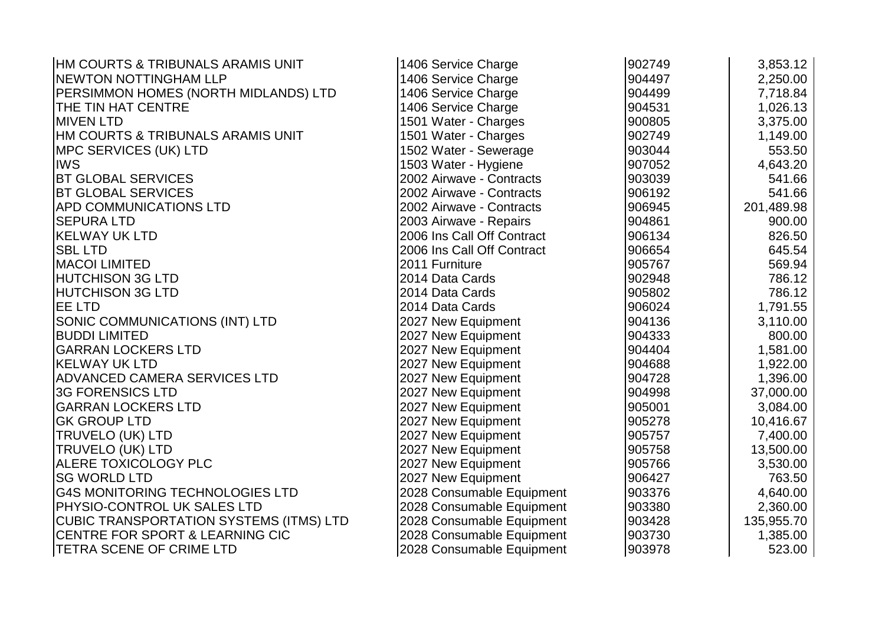| <b>HM COURTS &amp; TRIBUNALS ARAMIS UNIT</b>   | 1406 Service Charge        | 902749 | 3,853.12   |
|------------------------------------------------|----------------------------|--------|------------|
| <b>INEWTON NOTTINGHAM LLP</b>                  | 1406 Service Charge        | 904497 | 2,250.00   |
| PERSIMMON HOMES (NORTH MIDLANDS) LTD           | 1406 Service Charge        | 904499 | 7,718.84   |
| <b>THE TIN HAT CENTRE</b>                      | 1406 Service Charge        | 904531 | 1,026.13   |
| <b>MIVEN LTD</b>                               | 1501 Water - Charges       | 900805 | 3,375.00   |
| HM COURTS & TRIBUNALS ARAMIS UNIT              | 1501 Water - Charges       | 902749 | 1,149.00   |
| <b>MPC SERVICES (UK) LTD</b>                   | 1502 Water - Sewerage      | 903044 | 553.50     |
| <b>IWS</b>                                     | 1503 Water - Hygiene       | 907052 | 4,643.20   |
| <b>BT GLOBAL SERVICES</b>                      | 2002 Airwave - Contracts   | 903039 | 541.66     |
| <b>BT GLOBAL SERVICES</b>                      | 2002 Airwave - Contracts   | 906192 | 541.66     |
| <b>APD COMMUNICATIONS LTD</b>                  | 2002 Airwave - Contracts   | 906945 | 201,489.98 |
| <b>SEPURA LTD</b>                              | 2003 Airwave - Repairs     | 904861 | 900.00     |
| <b>KELWAY UK LTD</b>                           | 2006 Ins Call Off Contract | 906134 | 826.50     |
| <b>SBL LTD</b>                                 | 2006 Ins Call Off Contract | 906654 | 645.54     |
| <b>MACOI LIMITED</b>                           | 2011 Furniture             | 905767 | 569.94     |
| <b>HUTCHISON 3G LTD</b>                        | 2014 Data Cards            | 902948 | 786.12     |
| <b>HUTCHISON 3G LTD</b>                        | 2014 Data Cards            | 905802 | 786.12     |
| <b>EE LTD</b>                                  | 2014 Data Cards            | 906024 | 1,791.55   |
| SONIC COMMUNICATIONS (INT) LTD                 | 2027 New Equipment         | 904136 | 3,110.00   |
| <b>BUDDI LIMITED</b>                           | 2027 New Equipment         | 904333 | 800.00     |
| <b>GARRAN LOCKERS LTD</b>                      | 2027 New Equipment         | 904404 | 1,581.00   |
| <b>KELWAY UK LTD</b>                           | 2027 New Equipment         | 904688 | 1,922.00   |
| <b>ADVANCED CAMERA SERVICES LTD</b>            | 2027 New Equipment         | 904728 | 1,396.00   |
| <b>3G FORENSICS LTD</b>                        | 2027 New Equipment         | 904998 | 37,000.00  |
| <b>GARRAN LOCKERS LTD</b>                      | 2027 New Equipment         | 905001 | 3,084.00   |
| <b>GK GROUP LTD</b>                            | 2027 New Equipment         | 905278 | 10,416.67  |
| <b>TRUVELO (UK) LTD</b>                        | 2027 New Equipment         | 905757 | 7,400.00   |
| <b>TRUVELO (UK) LTD</b>                        | 2027 New Equipment         | 905758 | 13,500.00  |
| <b>ALERE TOXICOLOGY PLC</b>                    | 2027 New Equipment         | 905766 | 3,530.00   |
| <b>SG WORLD LTD</b>                            | 2027 New Equipment         | 906427 | 763.50     |
| <b>G4S MONITORING TECHNOLOGIES LTD</b>         | 2028 Consumable Equipment  | 903376 | 4,640.00   |
| <b>PHYSIO-CONTROL UK SALES LTD</b>             | 2028 Consumable Equipment  | 903380 | 2,360.00   |
| <b>CUBIC TRANSPORTATION SYSTEMS (ITMS) LTD</b> | 2028 Consumable Equipment  | 903428 | 135,955.70 |
| <b>CENTRE FOR SPORT &amp; LEARNING CIC</b>     | 2028 Consumable Equipment  | 903730 | 1,385.00   |
| <b>TETRA SCENE OF CRIME LTD</b>                | 2028 Consumable Equipment  | 903978 | 523.00     |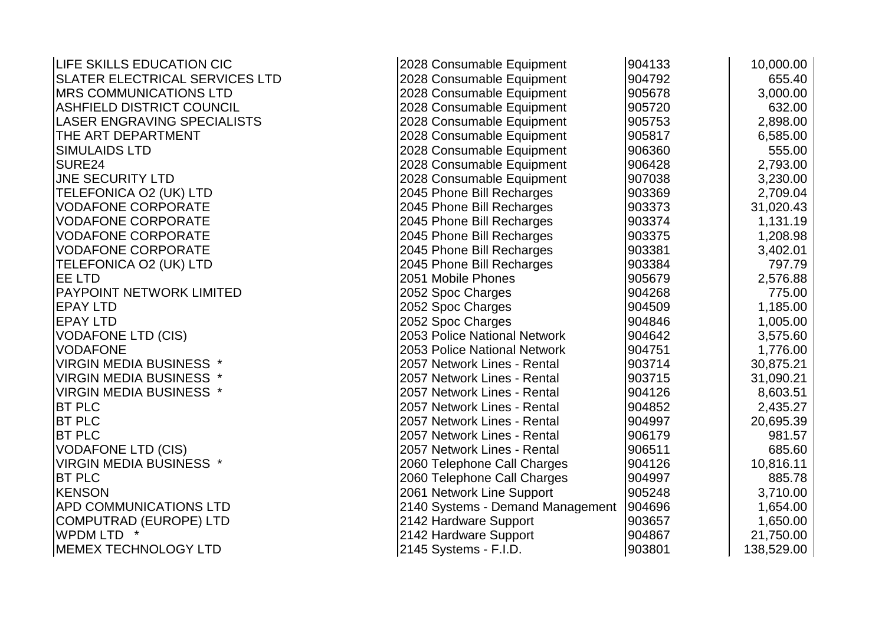| <b>LIFE SKILLS EDUCATION CIC</b>   | 2028 Consumable Equipment        | 904133 | 10,000.00  |
|------------------------------------|----------------------------------|--------|------------|
| SLATER ELECTRICAL SERVICES LTD     | 2028 Consumable Equipment        | 904792 | 655.40     |
| <b>IMRS COMMUNICATIONS LTD</b>     | 2028 Consumable Equipment        | 905678 | 3,000.00   |
| <b>ASHFIELD DISTRICT COUNCIL</b>   | 2028 Consumable Equipment        | 905720 | 632.00     |
| <b>LASER ENGRAVING SPECIALISTS</b> | 2028 Consumable Equipment        | 905753 | 2,898.00   |
| THE ART DEPARTMENT                 | 2028 Consumable Equipment        | 905817 | 6,585.00   |
| <b>SIMULAIDS LTD</b>               | 2028 Consumable Equipment        | 906360 | 555.00     |
| SURE24                             | 2028 Consumable Equipment        | 906428 | 2,793.00   |
| <b>JNE SECURITY LTD</b>            | 2028 Consumable Equipment        | 907038 | 3,230.00   |
| TELEFONICA O2 (UK) LTD             | 2045 Phone Bill Recharges        | 903369 | 2,709.04   |
| <b>VODAFONE CORPORATE</b>          | 2045 Phone Bill Recharges        | 903373 | 31,020.43  |
| <b>VODAFONE CORPORATE</b>          | 2045 Phone Bill Recharges        | 903374 | 1,131.19   |
| <b>VODAFONE CORPORATE</b>          | 2045 Phone Bill Recharges        | 903375 | 1,208.98   |
| <b>VODAFONE CORPORATE</b>          | 2045 Phone Bill Recharges        | 903381 | 3,402.01   |
| TELEFONICA O2 (UK) LTD             | 2045 Phone Bill Recharges        | 903384 | 797.79     |
| <b>EE LTD</b>                      | 2051 Mobile Phones               | 905679 | 2,576.88   |
| <b>PAYPOINT NETWORK LIMITED</b>    | 2052 Spoc Charges                | 904268 | 775.00     |
| <b>EPAY LTD</b>                    | 2052 Spoc Charges                | 904509 | 1,185.00   |
| <b>EPAY LTD</b>                    | 2052 Spoc Charges                | 904846 | 1,005.00   |
| <b>VODAFONE LTD (CIS)</b>          | 2053 Police National Network     | 904642 | 3,575.60   |
| <b>VODAFONE</b>                    | 2053 Police National Network     | 904751 | 1,776.00   |
| <b>VIRGIN MEDIA BUSINESS *</b>     | 2057 Network Lines - Rental      | 903714 | 30,875.21  |
| <b>VIRGIN MEDIA BUSINESS *</b>     | 2057 Network Lines - Rental      | 903715 | 31,090.21  |
| <b>VIRGIN MEDIA BUSINESS *</b>     | 2057 Network Lines - Rental      | 904126 | 8,603.51   |
| <b>BT PLC</b>                      | 2057 Network Lines - Rental      | 904852 | 2,435.27   |
| <b>BT PLC</b>                      | 2057 Network Lines - Rental      | 904997 | 20,695.39  |
| <b>BT PLC</b>                      | 2057 Network Lines - Rental      | 906179 | 981.57     |
| <b>VODAFONE LTD (CIS)</b>          | 2057 Network Lines - Rental      | 906511 | 685.60     |
| <b>VIRGIN MEDIA BUSINESS *</b>     | 2060 Telephone Call Charges      | 904126 | 10,816.11  |
| <b>BT PLC</b>                      | 2060 Telephone Call Charges      | 904997 | 885.78     |
| <b>KENSON</b>                      | 2061 Network Line Support        | 905248 | 3,710.00   |
| APD COMMUNICATIONS LTD             | 2140 Systems - Demand Management | 904696 | 1,654.00   |
| <b>COMPUTRAD (EUROPE) LTD</b>      | 2142 Hardware Support            | 903657 | 1,650.00   |
| WPDM LTD *                         | 2142 Hardware Support            | 904867 | 21,750.00  |
| <b>IMEMEX TECHNOLOGY LTD</b>       | 2145 Systems - F.I.D.            | 903801 | 138,529.00 |
|                                    |                                  |        |            |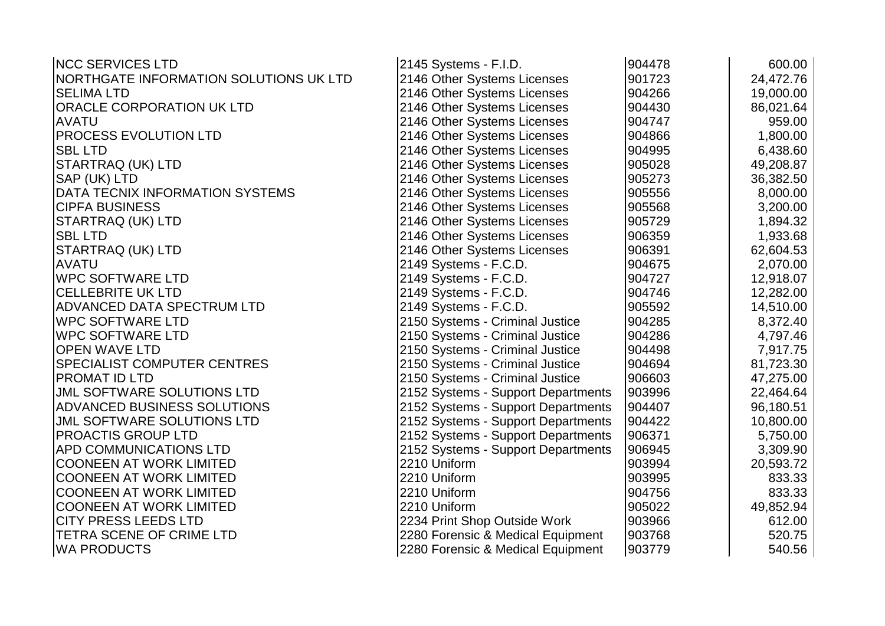| <b>INCC SERVICES LTD</b>               | 2145 Systems - F.I.D.              | 904478 | 600.00    |
|----------------------------------------|------------------------------------|--------|-----------|
| NORTHGATE INFORMATION SOLUTIONS UK LTD | 2146 Other Systems Licenses        | 901723 | 24,472.76 |
| <b>SELIMA LTD</b>                      | 2146 Other Systems Licenses        | 904266 | 19,000.00 |
| ORACLE CORPORATION UK LTD              | 2146 Other Systems Licenses        | 904430 | 86,021.64 |
| <b>AVATU</b>                           | 2146 Other Systems Licenses        | 904747 | 959.00    |
| PROCESS EVOLUTION LTD                  | 2146 Other Systems Licenses        | 904866 | 1,800.00  |
| <b>SBL LTD</b>                         | 2146 Other Systems Licenses        | 904995 | 6,438.60  |
| STARTRAQ (UK) LTD                      | 2146 Other Systems Licenses        | 905028 | 49,208.87 |
| SAP (UK) LTD                           | 2146 Other Systems Licenses        | 905273 | 36,382.50 |
| DATA TECNIX INFORMATION SYSTEMS        | 2146 Other Systems Licenses        | 905556 | 8,000.00  |
| <b>CIPFA BUSINESS</b>                  | 2146 Other Systems Licenses        | 905568 | 3,200.00  |
| STARTRAQ (UK) LTD                      | 2146 Other Systems Licenses        | 905729 | 1,894.32  |
| <b>SBL LTD</b>                         | 2146 Other Systems Licenses        | 906359 | 1,933.68  |
| STARTRAQ (UK) LTD                      | 2146 Other Systems Licenses        | 906391 | 62,604.53 |
| <b>AVATU</b>                           | 2149 Systems - F.C.D.              | 904675 | 2,070.00  |
| <b>WPC SOFTWARE LTD</b>                | 2149 Systems - F.C.D.              | 904727 | 12,918.07 |
| <b>CELLEBRITE UK LTD</b>               | 2149 Systems - F.C.D.              | 904746 | 12,282.00 |
| <b>ADVANCED DATA SPECTRUM LTD</b>      | 2149 Systems - F.C.D.              | 905592 | 14,510.00 |
| <b>WPC SOFTWARE LTD</b>                | 2150 Systems - Criminal Justice    | 904285 | 8,372.40  |
| <b>WPC SOFTWARE LTD</b>                | 2150 Systems - Criminal Justice    | 904286 | 4,797.46  |
| <b>OPEN WAVE LTD</b>                   | 2150 Systems - Criminal Justice    | 904498 | 7,917.75  |
| <b>SPECIALIST COMPUTER CENTRES</b>     | 2150 Systems - Criminal Justice    | 904694 | 81,723.30 |
| PROMAT ID LTD                          | 2150 Systems - Criminal Justice    | 906603 | 47,275.00 |
| JML SOFTWARE SOLUTIONS LTD             | 2152 Systems - Support Departments | 903996 | 22,464.64 |
| ADVANCED BUSINESS SOLUTIONS            | 2152 Systems - Support Departments | 904407 | 96,180.51 |
| <b>JML SOFTWARE SOLUTIONS LTD</b>      | 2152 Systems - Support Departments | 904422 | 10,800.00 |
| PROACTIS GROUP LTD                     | 2152 Systems - Support Departments | 906371 | 5,750.00  |
| APD COMMUNICATIONS LTD                 | 2152 Systems - Support Departments | 906945 | 3,309.90  |
| <b>COONEEN AT WORK LIMITED</b>         | 2210 Uniform                       | 903994 | 20,593.72 |
| <b>COONEEN AT WORK LIMITED</b>         | 2210 Uniform                       | 903995 | 833.33    |
| <b>COONEEN AT WORK LIMITED</b>         | 2210 Uniform                       | 904756 | 833.33    |
| <b>COONEEN AT WORK LIMITED</b>         | 2210 Uniform                       | 905022 | 49,852.94 |
| <b>CITY PRESS LEEDS LTD</b>            | 2234 Print Shop Outside Work       | 903966 | 612.00    |
| TETRA SCENE OF CRIME LTD               | 2280 Forensic & Medical Equipment  | 903768 | 520.75    |
| <b>WA PRODUCTS</b>                     | 2280 Forensic & Medical Equipment  | 903779 | 540.56    |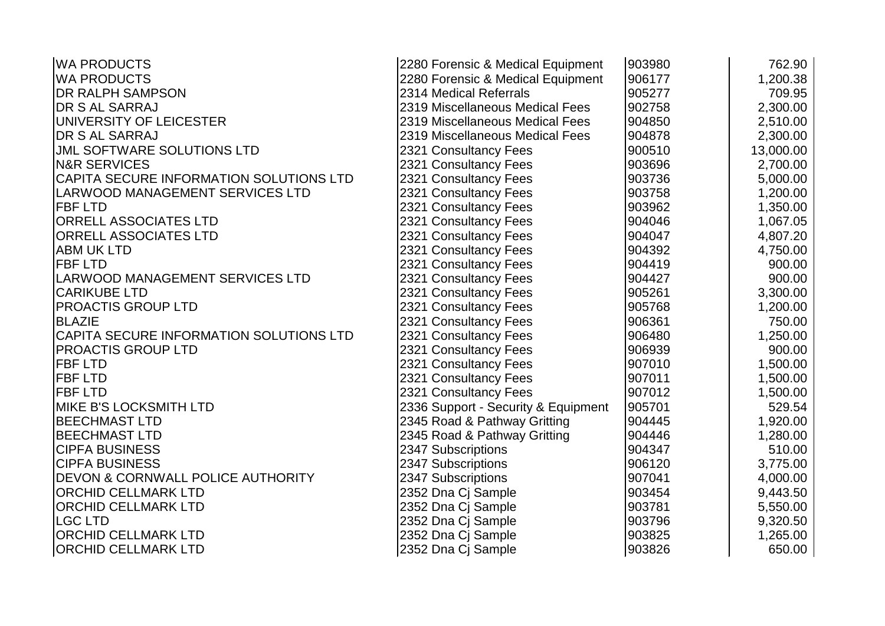| <b>WA PRODUCTS</b>                           | 2280 Forensic & Medical Equipment   | 903980 | 762.90    |
|----------------------------------------------|-------------------------------------|--------|-----------|
| <b>WA PRODUCTS</b>                           | 2280 Forensic & Medical Equipment   | 906177 | 1,200.38  |
| <b>DR RALPH SAMPSON</b>                      | 2314 Medical Referrals              | 905277 | 709.95    |
| <b>DR S AL SARRAJ</b>                        | 2319 Miscellaneous Medical Fees     | 902758 | 2,300.00  |
| UNIVERSITY OF LEICESTER                      | 2319 Miscellaneous Medical Fees     | 904850 | 2,510.00  |
| <b>DR S AL SARRAJ</b>                        | 2319 Miscellaneous Medical Fees     | 904878 | 2,300.00  |
| <b>JML SOFTWARE SOLUTIONS LTD</b>            | 2321 Consultancy Fees               | 900510 | 13,000.00 |
| <b>N&amp;R SERVICES</b>                      | 2321 Consultancy Fees               | 903696 | 2,700.00  |
| CAPITA SECURE INFORMATION SOLUTIONS LTD      | 2321 Consultancy Fees               | 903736 | 5,000.00  |
| <b>LARWOOD MANAGEMENT SERVICES LTD</b>       | 2321 Consultancy Fees               | 903758 | 1,200.00  |
| <b>FBF LTD</b>                               | 2321 Consultancy Fees               | 903962 | 1,350.00  |
| <b>ORRELL ASSOCIATES LTD</b>                 | 2321 Consultancy Fees               | 904046 | 1,067.05  |
| <b>ORRELL ASSOCIATES LTD</b>                 | 2321 Consultancy Fees               | 904047 | 4,807.20  |
| <b>ABM UK LTD</b>                            | 2321 Consultancy Fees               | 904392 | 4,750.00  |
| <b>FBF LTD</b>                               | 2321 Consultancy Fees               | 904419 | 900.00    |
| LARWOOD MANAGEMENT SERVICES LTD              | 2321 Consultancy Fees               | 904427 | 900.00    |
| <b>CARIKUBE LTD</b>                          | 2321 Consultancy Fees               | 905261 | 3,300.00  |
| <b>PROACTIS GROUP LTD</b>                    | 2321 Consultancy Fees               | 905768 | 1,200.00  |
| <b>BLAZIE</b>                                | 2321 Consultancy Fees               | 906361 | 750.00    |
| CAPITA SECURE INFORMATION SOLUTIONS LTD      | 2321 Consultancy Fees               | 906480 | 1,250.00  |
| <b>PROACTIS GROUP LTD</b>                    | 2321 Consultancy Fees               | 906939 | 900.00    |
| <b>FBF LTD</b>                               | 2321 Consultancy Fees               | 907010 | 1,500.00  |
| <b>FBF LTD</b>                               | 2321 Consultancy Fees               | 907011 | 1,500.00  |
| <b>FBF LTD</b>                               | 2321 Consultancy Fees               | 907012 | 1,500.00  |
| <b>MIKE B'S LOCKSMITH LTD</b>                | 2336 Support - Security & Equipment | 905701 | 529.54    |
| <b>BEECHMAST LTD</b>                         | 2345 Road & Pathway Gritting        | 904445 | 1,920.00  |
| <b>BEECHMAST LTD</b>                         | 2345 Road & Pathway Gritting        | 904446 | 1,280.00  |
| <b>CIPFA BUSINESS</b>                        | 2347 Subscriptions                  | 904347 | 510.00    |
| <b>CIPFA BUSINESS</b>                        | 2347 Subscriptions                  | 906120 | 3,775.00  |
| <b>DEVON &amp; CORNWALL POLICE AUTHORITY</b> | 2347 Subscriptions                  | 907041 | 4,000.00  |
| <b>ORCHID CELLMARK LTD</b>                   | 2352 Dna Cj Sample                  | 903454 | 9,443.50  |
| <b>ORCHID CELLMARK LTD</b>                   | 2352 Dna Cj Sample                  | 903781 | 5,550.00  |
| <b>LGC LTD</b>                               | 2352 Dna Cj Sample                  | 903796 | 9,320.50  |
| <b>ORCHID CELLMARK LTD</b>                   | 2352 Dna Cj Sample                  | 903825 | 1,265.00  |
| <b>ORCHID CELLMARK LTD</b>                   | 2352 Dna Cj Sample                  | 903826 | 650.00    |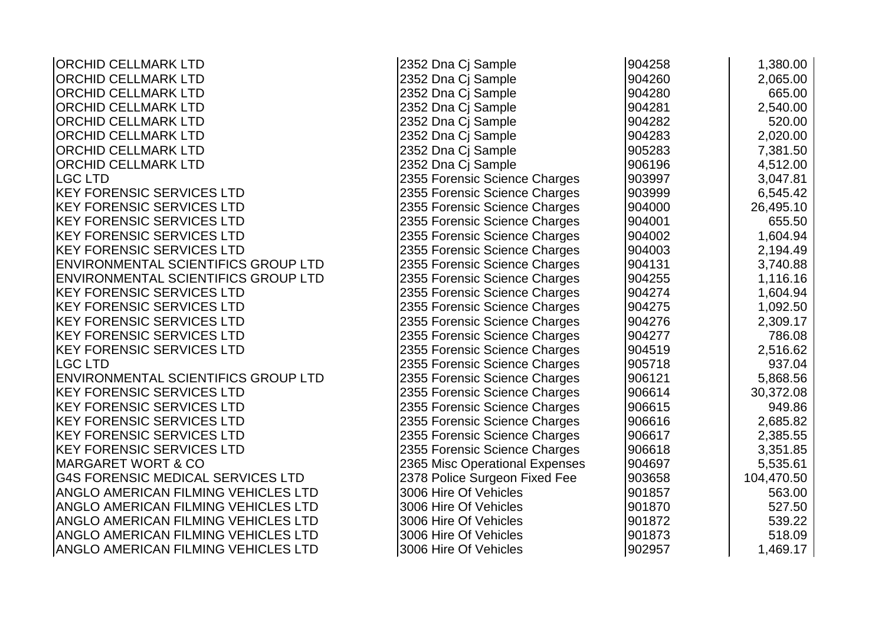| <b>ORCHID CELLMARK LTD</b>                 | 2352 Dna Cj Sample             | 904258 | 1,380.00   |
|--------------------------------------------|--------------------------------|--------|------------|
| <b>ORCHID CELLMARK LTD</b>                 | 2352 Dna Cj Sample             | 904260 | 2,065.00   |
| <b>ORCHID CELLMARK LTD</b>                 | 2352 Dna Cj Sample             | 904280 | 665.00     |
| <b>ORCHID CELLMARK LTD</b>                 | 2352 Dna Cj Sample             | 904281 | 2,540.00   |
| <b>ORCHID CELLMARK LTD</b>                 | 2352 Dna Cj Sample             | 904282 | 520.00     |
| <b>ORCHID CELLMARK LTD</b>                 | 2352 Dna Cj Sample             | 904283 | 2,020.00   |
| <b>ORCHID CELLMARK LTD</b>                 | 2352 Dna Cj Sample             | 905283 | 7,381.50   |
| <b>ORCHID CELLMARK LTD</b>                 | 2352 Dna Cj Sample             | 906196 | 4,512.00   |
| <b>LGC LTD</b>                             | 2355 Forensic Science Charges  | 903997 | 3,047.81   |
| <b>KEY FORENSIC SERVICES LTD</b>           | 2355 Forensic Science Charges  | 903999 | 6,545.42   |
| <b>KEY FORENSIC SERVICES LTD</b>           | 2355 Forensic Science Charges  | 904000 | 26,495.10  |
| <b>KEY FORENSIC SERVICES LTD</b>           | 2355 Forensic Science Charges  | 904001 | 655.50     |
| <b>KEY FORENSIC SERVICES LTD</b>           | 2355 Forensic Science Charges  | 904002 | 1,604.94   |
| <b>KEY FORENSIC SERVICES LTD</b>           | 2355 Forensic Science Charges  | 904003 | 2,194.49   |
| ENVIRONMENTAL SCIENTIFICS GROUP LTD        | 2355 Forensic Science Charges  | 904131 | 3,740.88   |
| ENVIRONMENTAL SCIENTIFICS GROUP LTD        | 2355 Forensic Science Charges  | 904255 | 1,116.16   |
| <b>KEY FORENSIC SERVICES LTD</b>           | 2355 Forensic Science Charges  | 904274 | 1,604.94   |
| <b>KEY FORENSIC SERVICES LTD</b>           | 2355 Forensic Science Charges  | 904275 | 1,092.50   |
| <b>KEY FORENSIC SERVICES LTD</b>           | 2355 Forensic Science Charges  | 904276 | 2,309.17   |
| <b>KEY FORENSIC SERVICES LTD</b>           | 2355 Forensic Science Charges  | 904277 | 786.08     |
| <b>KEY FORENSIC SERVICES LTD</b>           | 2355 Forensic Science Charges  | 904519 | 2,516.62   |
| <b>LGC LTD</b>                             | 2355 Forensic Science Charges  | 905718 | 937.04     |
| ENVIRONMENTAL SCIENTIFICS GROUP LTD        | 2355 Forensic Science Charges  | 906121 | 5,868.56   |
| <b>KEY FORENSIC SERVICES LTD</b>           | 2355 Forensic Science Charges  | 906614 | 30,372.08  |
| <b>KEY FORENSIC SERVICES LTD</b>           | 2355 Forensic Science Charges  | 906615 | 949.86     |
| <b>KEY FORENSIC SERVICES LTD</b>           | 2355 Forensic Science Charges  | 906616 | 2,685.82   |
| <b>KEY FORENSIC SERVICES LTD</b>           | 2355 Forensic Science Charges  | 906617 | 2,385.55   |
| <b>KEY FORENSIC SERVICES LTD</b>           | 2355 Forensic Science Charges  | 906618 | 3,351.85   |
| <b>MARGARET WORT &amp; CO</b>              | 2365 Misc Operational Expenses | 904697 | 5,535.61   |
| <b>G4S FORENSIC MEDICAL SERVICES LTD</b>   | 2378 Police Surgeon Fixed Fee  | 903658 | 104,470.50 |
| ANGLO AMERICAN FILMING VEHICLES LTD        | 3006 Hire Of Vehicles          | 901857 | 563.00     |
| ANGLO AMERICAN FILMING VEHICLES LTD        | 3006 Hire Of Vehicles          | 901870 | 527.50     |
| ANGLO AMERICAN FILMING VEHICLES LTD        | 3006 Hire Of Vehicles          | 901872 | 539.22     |
| <b>ANGLO AMERICAN FILMING VEHICLES LTD</b> | 3006 Hire Of Vehicles          | 901873 | 518.09     |
| <b>ANGLO AMERICAN FILMING VEHICLES LTD</b> | 3006 Hire Of Vehicles          | 902957 | 1,469.17   |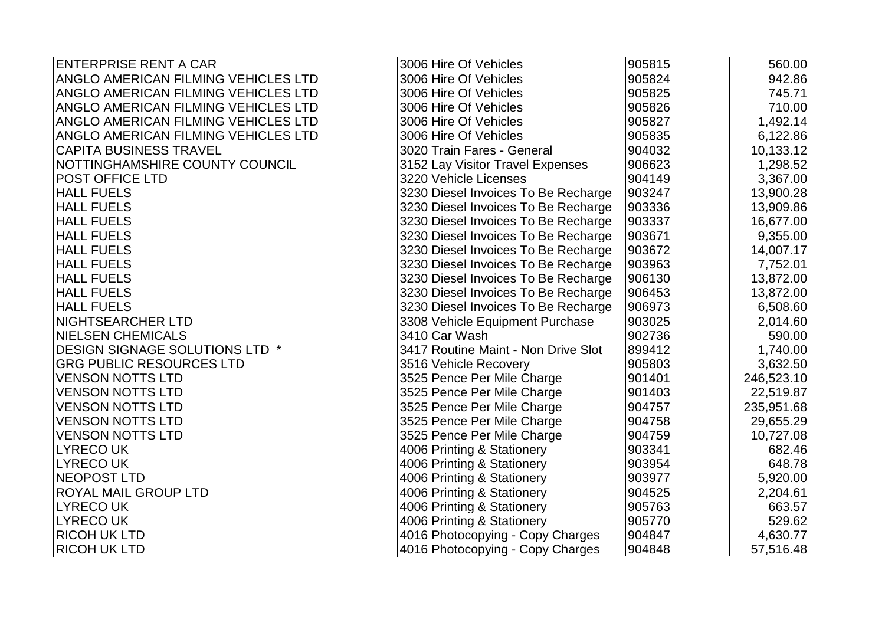| <b>ENTERPRISE RENT A CAR</b>               | 3006 Hire Of Vehicles               | 905815 | 560.00     |
|--------------------------------------------|-------------------------------------|--------|------------|
| <b>ANGLO AMERICAN FILMING VEHICLES LTD</b> | 3006 Hire Of Vehicles               | 905824 | 942.86     |
| <b>ANGLO AMERICAN FILMING VEHICLES LTD</b> | 3006 Hire Of Vehicles               | 905825 | 745.71     |
| ANGLO AMERICAN FILMING VEHICLES LTD        | 3006 Hire Of Vehicles               | 905826 | 710.00     |
| ANGLO AMERICAN FILMING VEHICLES LTD        | 3006 Hire Of Vehicles               | 905827 | 1,492.14   |
| ANGLO AMERICAN FILMING VEHICLES LTD        | 3006 Hire Of Vehicles               | 905835 | 6,122.86   |
| <b>CAPITA BUSINESS TRAVEL</b>              | 3020 Train Fares - General          | 904032 | 10,133.12  |
| NOTTINGHAMSHIRE COUNTY COUNCIL             | 3152 Lay Visitor Travel Expenses    | 906623 | 1,298.52   |
| POST OFFICE LTD                            | 3220 Vehicle Licenses               | 904149 | 3,367.00   |
| <b>HALL FUELS</b>                          | 3230 Diesel Invoices To Be Recharge | 903247 | 13,900.28  |
| <b>HALL FUELS</b>                          | 3230 Diesel Invoices To Be Recharge | 903336 | 13,909.86  |
| <b>HALL FUELS</b>                          | 3230 Diesel Invoices To Be Recharge | 903337 | 16,677.00  |
| <b>HALL FUELS</b>                          | 3230 Diesel Invoices To Be Recharge | 903671 | 9,355.00   |
| <b>HALL FUELS</b>                          | 3230 Diesel Invoices To Be Recharge | 903672 | 14,007.17  |
| <b>HALL FUELS</b>                          | 3230 Diesel Invoices To Be Recharge | 903963 | 7,752.01   |
| <b>HALL FUELS</b>                          | 3230 Diesel Invoices To Be Recharge | 906130 | 13,872.00  |
| <b>HALL FUELS</b>                          | 3230 Diesel Invoices To Be Recharge | 906453 | 13,872.00  |
| <b>HALL FUELS</b>                          | 3230 Diesel Invoices To Be Recharge | 906973 | 6,508.60   |
| NIGHTSEARCHER LTD                          | 3308 Vehicle Equipment Purchase     | 903025 | 2,014.60   |
| <b>NIELSEN CHEMICALS</b>                   | 3410 Car Wash                       | 902736 | 590.00     |
| DESIGN SIGNAGE SOLUTIONS LTD *             | 3417 Routine Maint - Non Drive Slot | 899412 | 1,740.00   |
| <b>GRG PUBLIC RESOURCES LTD</b>            | 3516 Vehicle Recovery               | 905803 | 3,632.50   |
| <b>VENSON NOTTS LTD</b>                    | 3525 Pence Per Mile Charge          | 901401 | 246,523.10 |
| <b>VENSON NOTTS LTD</b>                    | 3525 Pence Per Mile Charge          | 901403 | 22,519.87  |
| <b>VENSON NOTTS LTD</b>                    | 3525 Pence Per Mile Charge          | 904757 | 235,951.68 |
| <b>VENSON NOTTS LTD</b>                    | 3525 Pence Per Mile Charge          | 904758 | 29,655.29  |
| <b>VENSON NOTTS LTD</b>                    | 3525 Pence Per Mile Charge          | 904759 | 10,727.08  |
| <b>LYRECOUK</b>                            | 4006 Printing & Stationery          | 903341 | 682.46     |
| <b>LYRECOUK</b>                            | 4006 Printing & Stationery          | 903954 | 648.78     |
| <b>NEOPOST LTD</b>                         | 4006 Printing & Stationery          | 903977 | 5,920.00   |
| ROYAL MAIL GROUP LTD                       | 4006 Printing & Stationery          | 904525 | 2,204.61   |
| <b>LYRECOUK</b>                            | 4006 Printing & Stationery          | 905763 | 663.57     |
| <b>LYRECOUK</b>                            | 4006 Printing & Stationery          | 905770 | 529.62     |
| <b>RICOH UK LTD</b>                        | 4016 Photocopying - Copy Charges    | 904847 | 4,630.77   |
| <b>RICOH UK LTD</b>                        | 4016 Photocopying - Copy Charges    | 904848 | 57,516.48  |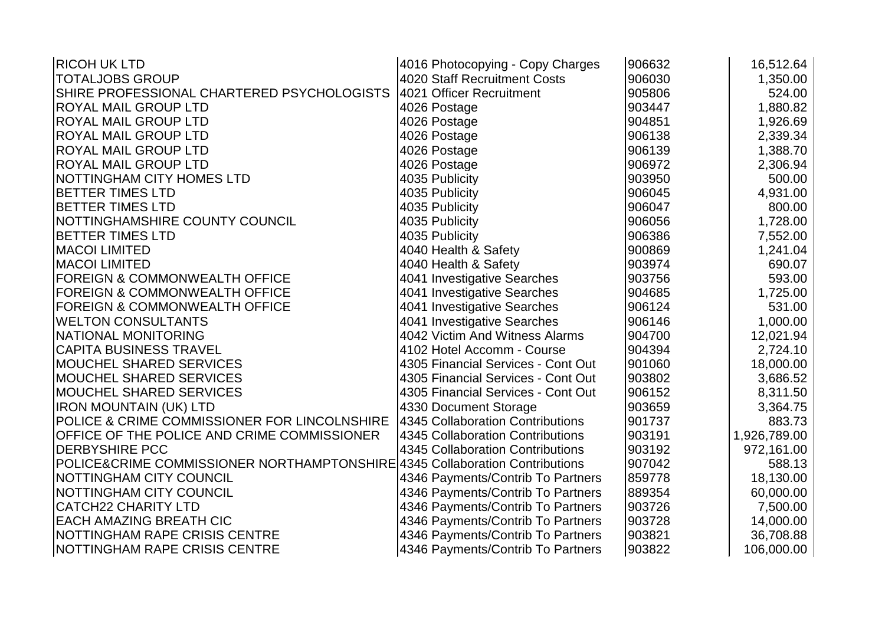| <b>RICOH UK LTD</b>                                                         | 4016 Photocopying - Copy Charges    | 906632 | 16,512.64    |
|-----------------------------------------------------------------------------|-------------------------------------|--------|--------------|
| <b>TOTALJOBS GROUP</b>                                                      | <b>4020 Staff Recruitment Costs</b> | 906030 | 1,350.00     |
| SHIRE PROFESSIONAL CHARTERED PSYCHOLOGISTS                                  | 4021 Officer Recruitment            | 905806 | 524.00       |
| ROYAL MAIL GROUP LTD                                                        | 4026 Postage                        | 903447 | 1,880.82     |
| ROYAL MAIL GROUP LTD                                                        | 4026 Postage                        | 904851 | 1,926.69     |
| ROYAL MAIL GROUP LTD                                                        | 4026 Postage                        | 906138 | 2,339.34     |
| <b>ROYAL MAIL GROUP LTD</b>                                                 | 4026 Postage                        | 906139 | 1,388.70     |
| ROYAL MAIL GROUP LTD                                                        | 4026 Postage                        | 906972 | 2,306.94     |
| NOTTINGHAM CITY HOMES LTD                                                   | 4035 Publicity                      | 903950 | 500.00       |
| <b>BETTER TIMES LTD</b>                                                     | 4035 Publicity                      | 906045 | 4,931.00     |
| <b>BETTER TIMES LTD</b>                                                     | 4035 Publicity                      | 906047 | 800.00       |
| NOTTINGHAMSHIRE COUNTY COUNCIL                                              | 4035 Publicity                      | 906056 | 1,728.00     |
| <b>BETTER TIMES LTD</b>                                                     | 4035 Publicity                      | 906386 | 7,552.00     |
| <b>MACOI LIMITED</b>                                                        | 4040 Health & Safety                | 900869 | 1,241.04     |
| <b>MACOI LIMITED</b>                                                        | 4040 Health & Safety                | 903974 | 690.07       |
| <b>FOREIGN &amp; COMMONWEALTH OFFICE</b>                                    | 4041 Investigative Searches         | 903756 | 593.00       |
| <b>FOREIGN &amp; COMMONWEALTH OFFICE</b>                                    | 4041 Investigative Searches         | 904685 | 1,725.00     |
| <b>FOREIGN &amp; COMMONWEALTH OFFICE</b>                                    | 4041 Investigative Searches         | 906124 | 531.00       |
| <b>WELTON CONSULTANTS</b>                                                   | 4041 Investigative Searches         | 906146 | 1,000.00     |
| NATIONAL MONITORING                                                         | 4042 Victim And Witness Alarms      | 904700 | 12,021.94    |
| <b>CAPITA BUSINESS TRAVEL</b>                                               | 4102 Hotel Accomm - Course          | 904394 | 2,724.10     |
| <b>MOUCHEL SHARED SERVICES</b>                                              | 4305 Financial Services - Cont Out  | 901060 | 18,000.00    |
| <b>MOUCHEL SHARED SERVICES</b>                                              | 4305 Financial Services - Cont Out  | 903802 | 3,686.52     |
| <b>MOUCHEL SHARED SERVICES</b>                                              | 4305 Financial Services - Cont Out  | 906152 | 8,311.50     |
| <b>IRON MOUNTAIN (UK) LTD</b>                                               | 4330 Document Storage               | 903659 | 3,364.75     |
| POLICE & CRIME COMMISSIONER FOR LINCOLNSHIRE                                | 4345 Collaboration Contributions    | 901737 | 883.73       |
| OFFICE OF THE POLICE AND CRIME COMMISSIONER                                 | 4345 Collaboration Contributions    | 903191 | 1,926,789.00 |
| <b>DERBYSHIRE PCC</b>                                                       | 4345 Collaboration Contributions    | 903192 | 972,161.00   |
| POLICE&CRIME COMMISSIONER NORTHAMPTONSHIRE 4345 Collaboration Contributions |                                     | 907042 | 588.13       |
| NOTTINGHAM CITY COUNCIL                                                     | 4346 Payments/Contrib To Partners   | 859778 | 18,130.00    |
| NOTTINGHAM CITY COUNCIL                                                     | 4346 Payments/Contrib To Partners   | 889354 | 60,000.00    |
| <b>CATCH22 CHARITY LTD</b>                                                  | 4346 Payments/Contrib To Partners   | 903726 | 7,500.00     |
| <b>EACH AMAZING BREATH CIC</b>                                              | 4346 Payments/Contrib To Partners   | 903728 | 14,000.00    |
| NOTTINGHAM RAPE CRISIS CENTRE                                               | 4346 Payments/Contrib To Partners   | 903821 | 36,708.88    |
| NOTTINGHAM RAPE CRISIS CENTRE                                               | 4346 Payments/Contrib To Partners   | 903822 | 106,000.00   |